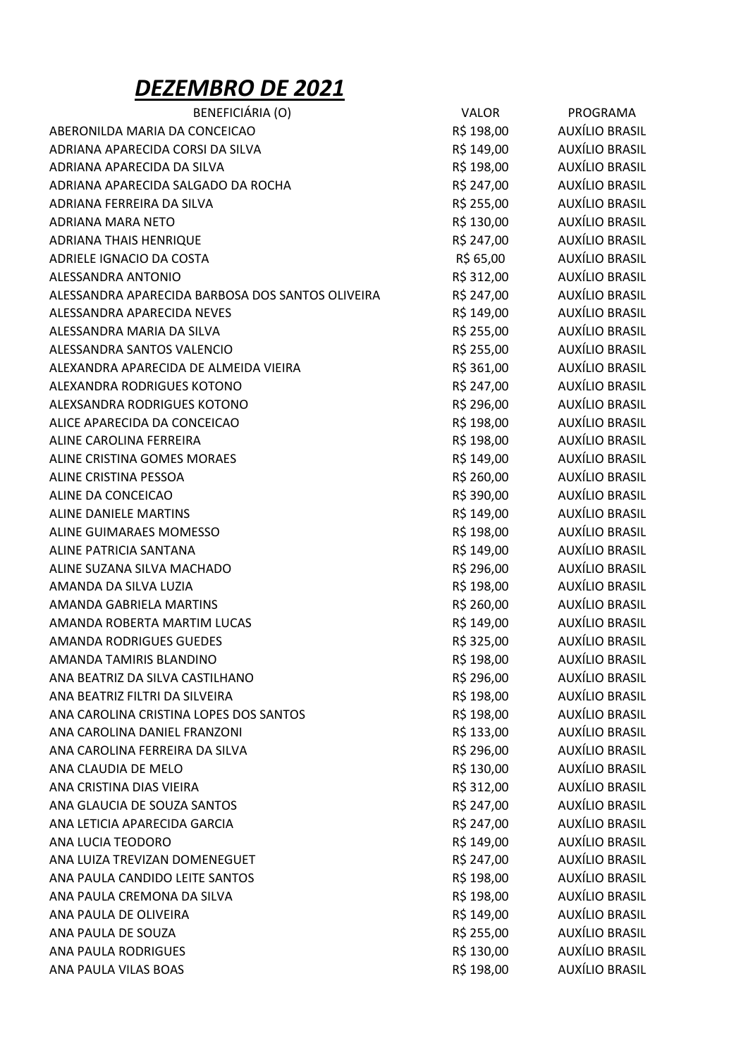## DEZEMBRO DE 2021

| BENEFICIÁRIA (O)                                 | <b>VALOR</b> | PROGRAMA              |
|--------------------------------------------------|--------------|-----------------------|
| ABERONILDA MARIA DA CONCEICAO                    | R\$ 198,00   | AUXÍLIO BRASIL        |
| ADRIANA APARECIDA CORSI DA SILVA                 | R\$ 149,00   | AUXÍLIO BRASIL        |
| ADRIANA APARECIDA DA SILVA                       | R\$ 198,00   | AUXÍLIO BRASIL        |
| ADRIANA APARECIDA SALGADO DA ROCHA               | R\$ 247,00   | AUXÍLIO BRASIL        |
| ADRIANA FERREIRA DA SILVA                        | R\$ 255,00   | AUXÍLIO BRASIL        |
| ADRIANA MARA NETO                                | R\$ 130,00   | AUXÍLIO BRASIL        |
| <b>ADRIANA THAIS HENRIQUE</b>                    | R\$ 247,00   | AUXÍLIO BRASIL        |
| ADRIELE IGNACIO DA COSTA                         | R\$ 65,00    | <b>AUXÍLIO BRASIL</b> |
| ALESSANDRA ANTONIO                               | R\$ 312,00   | AUXÍLIO BRASIL        |
| ALESSANDRA APARECIDA BARBOSA DOS SANTOS OLIVEIRA | R\$ 247,00   | AUXÍLIO BRASIL        |
| ALESSANDRA APARECIDA NEVES                       | R\$ 149,00   | AUXÍLIO BRASIL        |
| ALESSANDRA MARIA DA SILVA                        | R\$ 255,00   | AUXÍLIO BRASIL        |
| ALESSANDRA SANTOS VALENCIO                       | R\$ 255,00   | AUXÍLIO BRASIL        |
| ALEXANDRA APARECIDA DE ALMEIDA VIEIRA            | R\$ 361,00   | AUXÍLIO BRASIL        |
| ALEXANDRA RODRIGUES KOTONO                       | R\$ 247,00   | AUXÍLIO BRASIL        |
| ALEXSANDRA RODRIGUES KOTONO                      | R\$ 296,00   | AUXÍLIO BRASIL        |
| ALICE APARECIDA DA CONCEICAO                     | R\$ 198,00   | <b>AUXÍLIO BRASIL</b> |
| ALINE CAROLINA FERREIRA                          | R\$ 198,00   | <b>AUXÍLIO BRASIL</b> |
| ALINE CRISTINA GOMES MORAES                      | R\$ 149,00   | <b>AUXÍLIO BRASIL</b> |
| ALINE CRISTINA PESSOA                            | R\$ 260,00   | AUXÍLIO BRASIL        |
| ALINE DA CONCEICAO                               | R\$ 390,00   | AUXÍLIO BRASIL        |
| ALINE DANIELE MARTINS                            | R\$ 149,00   | AUXÍLIO BRASIL        |
| ALINE GUIMARAES MOMESSO                          | R\$ 198,00   | AUXÍLIO BRASIL        |
| ALINE PATRICIA SANTANA                           | R\$ 149,00   | AUXÍLIO BRASIL        |
| ALINE SUZANA SILVA MACHADO                       | R\$ 296,00   | AUXÍLIO BRASIL        |
| AMANDA DA SILVA LUZIA                            | R\$ 198,00   | AUXÍLIO BRASIL        |
| AMANDA GABRIELA MARTINS                          | R\$ 260,00   | <b>AUXÍLIO BRASIL</b> |
| AMANDA ROBERTA MARTIM LUCAS                      | R\$ 149,00   | AUXÍLIO BRASIL        |
| AMANDA RODRIGUES GUEDES                          | R\$ 325,00   | AUXÍLIO BRASIL        |
| AMANDA TAMIRIS BLANDINO                          | R\$ 198,00   | <b>AUXÍLIO BRASIL</b> |
| ANA BEATRIZ DA SILVA CASTILHANO                  | R\$ 296,00   | <b>AUXÍLIO BRASIL</b> |
| ANA BEATRIZ FILTRI DA SILVEIRA                   | R\$ 198,00   | AUXÍLIO BRASIL        |
| ANA CAROLINA CRISTINA LOPES DOS SANTOS           | R\$ 198,00   | AUXÍLIO BRASIL        |
| ANA CAROLINA DANIEL FRANZONI                     | R\$ 133,00   | AUXÍLIO BRASIL        |
| ANA CAROLINA FERREIRA DA SILVA                   | R\$ 296,00   | <b>AUXÍLIO BRASIL</b> |
| ANA CLAUDIA DE MELO                              | R\$ 130,00   | AUXÍLIO BRASIL        |
| ANA CRISTINA DIAS VIEIRA                         | R\$ 312,00   | AUXÍLIO BRASIL        |
| ANA GLAUCIA DE SOUZA SANTOS                      | R\$ 247,00   | AUXÍLIO BRASIL        |
| ANA LETICIA APARECIDA GARCIA                     | R\$ 247,00   | AUXÍLIO BRASIL        |
| ANA LUCIA TEODORO                                | R\$ 149,00   | AUXÍLIO BRASIL        |
| ANA LUIZA TREVIZAN DOMENEGUET                    | R\$ 247,00   | AUXÍLIO BRASIL        |
| ANA PAULA CANDIDO LEITE SANTOS                   | R\$ 198,00   | AUXÍLIO BRASIL        |
| ANA PAULA CREMONA DA SILVA                       | R\$ 198,00   | AUXÍLIO BRASIL        |
| ANA PAULA DE OLIVEIRA                            | R\$ 149,00   | AUXÍLIO BRASIL        |
| ANA PAULA DE SOUZA                               | R\$ 255,00   | AUXÍLIO BRASIL        |
| ANA PAULA RODRIGUES                              | R\$ 130,00   | AUXÍLIO BRASIL        |
| ANA PAULA VILAS BOAS                             | R\$ 198,00   | <b>AUXÍLIO BRASIL</b> |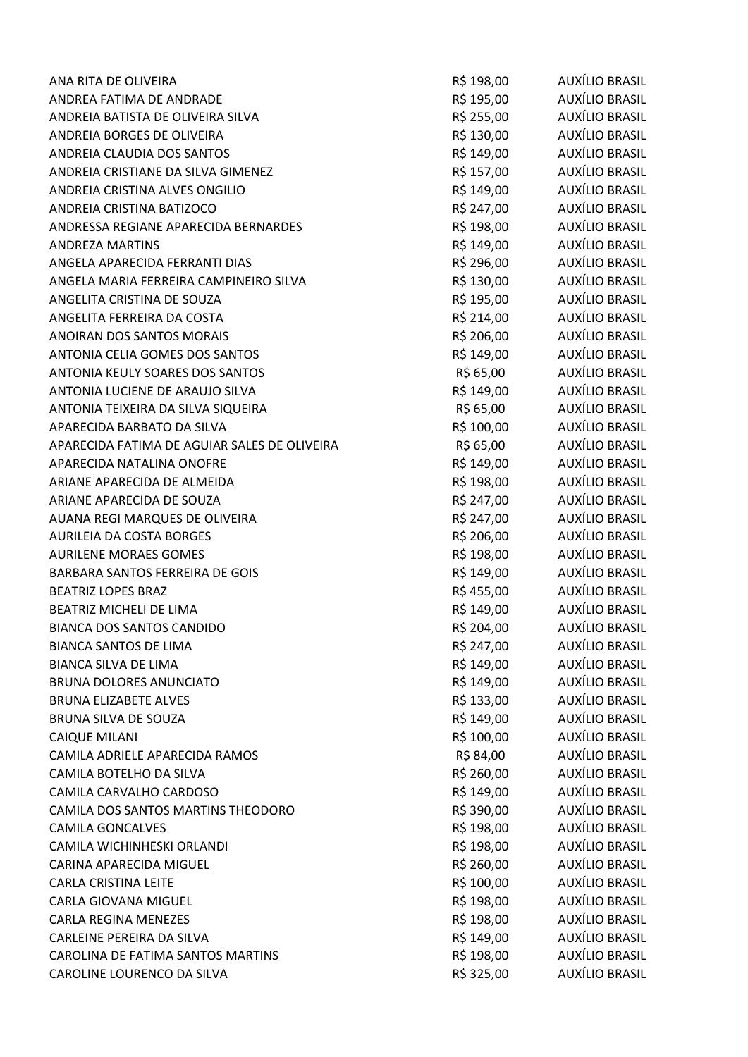| ANA RITA DE OLIVEIRA                         | R\$ 198,00 | AUXÍLIO BRASIL        |
|----------------------------------------------|------------|-----------------------|
| ANDREA FATIMA DE ANDRADE                     | R\$ 195,00 | <b>AUXÍLIO BRASIL</b> |
| ANDREIA BATISTA DE OLIVEIRA SILVA            | R\$ 255,00 | AUXÍLIO BRASIL        |
| ANDREIA BORGES DE OLIVEIRA                   | R\$ 130,00 | AUXÍLIO BRASIL        |
| ANDREIA CLAUDIA DOS SANTOS                   | R\$ 149,00 | AUXÍLIO BRASIL        |
| ANDREIA CRISTIANE DA SILVA GIMENEZ           | R\$ 157,00 | AUXÍLIO BRASIL        |
| ANDREIA CRISTINA ALVES ONGILIO               | R\$ 149,00 | AUXÍLIO BRASIL        |
| ANDREIA CRISTINA BATIZOCO                    | R\$ 247,00 | AUXÍLIO BRASIL        |
| ANDRESSA REGIANE APARECIDA BERNARDES         | R\$ 198,00 | AUXÍLIO BRASIL        |
| <b>ANDREZA MARTINS</b>                       | R\$ 149,00 | AUXÍLIO BRASIL        |
| ANGELA APARECIDA FERRANTI DIAS               | R\$ 296,00 | AUXÍLIO BRASIL        |
| ANGELA MARIA FERREIRA CAMPINEIRO SILVA       | R\$ 130,00 | AUXÍLIO BRASIL        |
| ANGELITA CRISTINA DE SOUZA                   | R\$ 195,00 | AUXÍLIO BRASIL        |
| ANGELITA FERREIRA DA COSTA                   | R\$ 214,00 | AUXÍLIO BRASIL        |
| <b>ANOIRAN DOS SANTOS MORAIS</b>             | R\$ 206,00 | AUXÍLIO BRASIL        |
| ANTONIA CELIA GOMES DOS SANTOS               | R\$ 149,00 | AUXÍLIO BRASIL        |
| ANTONIA KEULY SOARES DOS SANTOS              | R\$ 65,00  | AUXÍLIO BRASIL        |
| ANTONIA LUCIENE DE ARAUJO SILVA              | R\$ 149,00 | <b>AUXÍLIO BRASIL</b> |
| ANTONIA TEIXEIRA DA SILVA SIQUEIRA           | R\$ 65,00  | AUXÍLIO BRASIL        |
| APARECIDA BARBATO DA SILVA                   | R\$ 100,00 | AUXÍLIO BRASIL        |
| APARECIDA FATIMA DE AGUIAR SALES DE OLIVEIRA | R\$ 65,00  | AUXÍLIO BRASIL        |
| APARECIDA NATALINA ONOFRE                    | R\$ 149,00 | AUXÍLIO BRASIL        |
| ARIANE APARECIDA DE ALMEIDA                  | R\$ 198,00 | AUXÍLIO BRASIL        |
| ARIANE APARECIDA DE SOUZA                    | R\$ 247,00 | AUXÍLIO BRASIL        |
| AUANA REGI MARQUES DE OLIVEIRA               | R\$ 247,00 | AUXÍLIO BRASIL        |
| <b>AURILEIA DA COSTA BORGES</b>              | R\$ 206,00 | AUXÍLIO BRASIL        |
| <b>AURILENE MORAES GOMES</b>                 | R\$ 198,00 | AUXÍLIO BRASIL        |
| BARBARA SANTOS FERREIRA DE GOIS              | R\$ 149,00 | AUXÍLIO BRASIL        |
| <b>BEATRIZ LOPES BRAZ</b>                    | R\$ 455,00 | AUXÍLIO BRASIL        |
| BEATRIZ MICHELI DE LIMA                      | R\$ 149,00 | AUXÍLIO BRASIL        |
| <b>BIANCA DOS SANTOS CANDIDO</b>             | R\$ 204,00 | AUXÍLIO BRASIL        |
| <b>BIANCA SANTOS DE LIMA</b>                 | R\$ 247,00 | AUXÍLIO BRASIL        |
| <b>BIANCA SILVA DE LIMA</b>                  | R\$ 149,00 | <b>AUXÍLIO BRASIL</b> |
| <b>BRUNA DOLORES ANUNCIATO</b>               | R\$ 149,00 | AUXÍLIO BRASIL        |
| <b>BRUNA ELIZABETE ALVES</b>                 | R\$ 133,00 | AUXÍLIO BRASIL        |
| BRUNA SILVA DE SOUZA                         | R\$ 149,00 | AUXÍLIO BRASIL        |
| <b>CAIQUE MILANI</b>                         | R\$ 100,00 | AUXÍLIO BRASIL        |
| CAMILA ADRIELE APARECIDA RAMOS               | R\$ 84,00  | AUXÍLIO BRASIL        |
| CAMILA BOTELHO DA SILVA                      | R\$ 260,00 | AUXÍLIO BRASIL        |
| CAMILA CARVALHO CARDOSO                      | R\$ 149,00 | AUXÍLIO BRASIL        |
| CAMILA DOS SANTOS MARTINS THEODORO           | R\$ 390,00 | AUXÍLIO BRASIL        |
| <b>CAMILA GONCALVES</b>                      | R\$ 198,00 | AUXÍLIO BRASIL        |
| CAMILA WICHINHESKI ORLANDI                   | R\$ 198,00 | AUXÍLIO BRASIL        |
| CARINA APARECIDA MIGUEL                      | R\$ 260,00 | AUXÍLIO BRASIL        |
| <b>CARLA CRISTINA LEITE</b>                  | R\$ 100,00 | AUXÍLIO BRASIL        |
| <b>CARLA GIOVANA MIGUEL</b>                  | R\$ 198,00 | AUXÍLIO BRASIL        |
| <b>CARLA REGINA MENEZES</b>                  | R\$ 198,00 | AUXÍLIO BRASIL        |
| CARLEINE PEREIRA DA SILVA                    | R\$ 149,00 | AUXÍLIO BRASIL        |
| CAROLINA DE FATIMA SANTOS MARTINS            | R\$ 198,00 | <b>AUXÍLIO BRASIL</b> |
| CAROLINE LOURENCO DA SILVA                   | R\$ 325,00 | <b>AUXÍLIO BRASIL</b> |
|                                              |            |                       |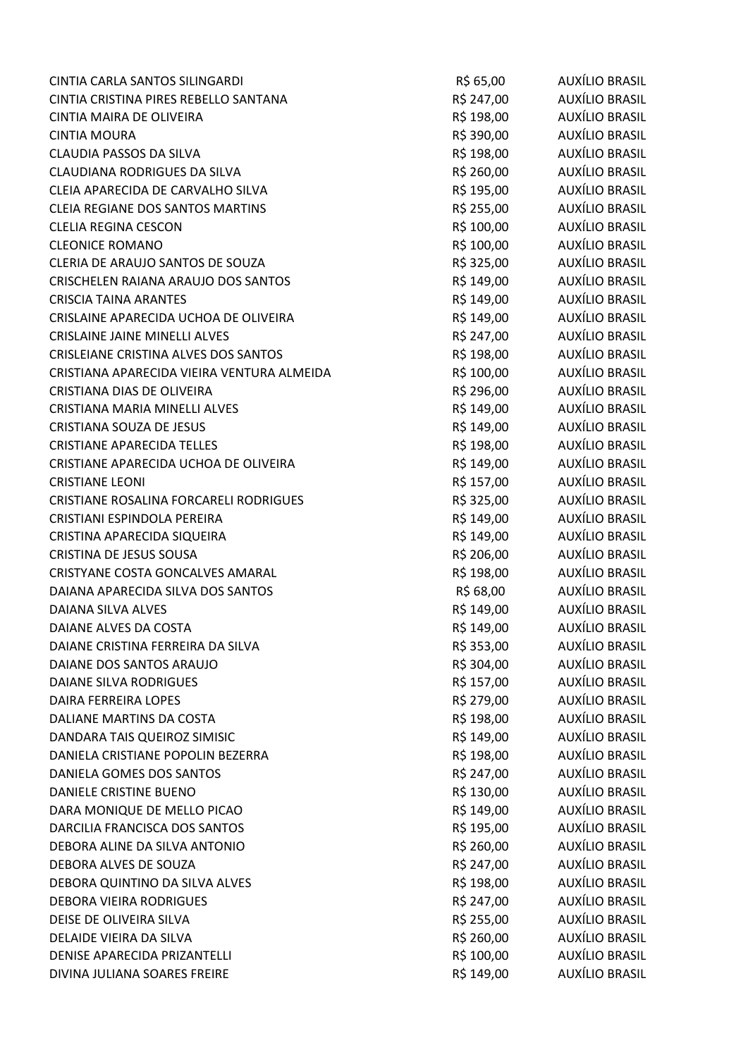| CINTIA CARLA SANTOS SILINGARDI             | R\$ 65,00  | AUXÍLIO BRASIL        |
|--------------------------------------------|------------|-----------------------|
| CINTIA CRISTINA PIRES REBELLO SANTANA      | R\$ 247,00 | <b>AUXÍLIO BRASIL</b> |
| CINTIA MAIRA DE OLIVEIRA                   | R\$ 198,00 | AUXÍLIO BRASIL        |
| <b>CINTIA MOURA</b>                        | R\$ 390,00 | AUXÍLIO BRASIL        |
| CLAUDIA PASSOS DA SILVA                    | R\$ 198,00 | AUXÍLIO BRASIL        |
| CLAUDIANA RODRIGUES DA SILVA               | R\$ 260,00 | AUXÍLIO BRASIL        |
| CLEIA APARECIDA DE CARVALHO SILVA          | R\$ 195,00 | AUXÍLIO BRASIL        |
| CLEIA REGIANE DOS SANTOS MARTINS           | R\$ 255,00 | AUXÍLIO BRASIL        |
| <b>CLELIA REGINA CESCON</b>                | R\$ 100,00 | AUXÍLIO BRASIL        |
| <b>CLEONICE ROMANO</b>                     | R\$ 100,00 | AUXÍLIO BRASIL        |
| CLERIA DE ARAUJO SANTOS DE SOUZA           | R\$ 325,00 | <b>AUXÍLIO BRASIL</b> |
| CRISCHELEN RAIANA ARAUJO DOS SANTOS        | R\$ 149,00 | AUXÍLIO BRASIL        |
| <b>CRISCIA TAINA ARANTES</b>               | R\$ 149,00 | AUXÍLIO BRASIL        |
| CRISLAINE APARECIDA UCHOA DE OLIVEIRA      | R\$ 149,00 | <b>AUXÍLIO BRASIL</b> |
| <b>CRISLAINE JAINE MINELLI ALVES</b>       | R\$ 247,00 | <b>AUXÍLIO BRASIL</b> |
| CRISLEIANE CRISTINA ALVES DOS SANTOS       | R\$ 198,00 | <b>AUXÍLIO BRASIL</b> |
| CRISTIANA APARECIDA VIEIRA VENTURA ALMEIDA | R\$ 100,00 | AUXÍLIO BRASIL        |
| CRISTIANA DIAS DE OLIVEIRA                 | R\$ 296,00 | AUXÍLIO BRASIL        |
| CRISTIANA MARIA MINELLI ALVES              | R\$ 149,00 | <b>AUXÍLIO BRASIL</b> |
| CRISTIANA SOUZA DE JESUS                   | R\$ 149,00 | AUXÍLIO BRASIL        |
| <b>CRISTIANE APARECIDA TELLES</b>          | R\$ 198,00 | AUXÍLIO BRASIL        |
| CRISTIANE APARECIDA UCHOA DE OLIVEIRA      | R\$ 149,00 | AUXÍLIO BRASIL        |
| <b>CRISTIANE LEONI</b>                     | R\$ 157,00 | AUXÍLIO BRASIL        |
| CRISTIANE ROSALINA FORCARELI RODRIGUES     | R\$ 325,00 | AUXÍLIO BRASIL        |
| CRISTIANI ESPINDOLA PEREIRA                | R\$ 149,00 | AUXÍLIO BRASIL        |
| CRISTINA APARECIDA SIQUEIRA                | R\$ 149,00 | <b>AUXÍLIO BRASIL</b> |
| CRISTINA DE JESUS SOUSA                    | R\$ 206,00 | AUXÍLIO BRASIL        |
| CRISTYANE COSTA GONCALVES AMARAL           | R\$ 198,00 | AUXÍLIO BRASIL        |
| DAIANA APARECIDA SILVA DOS SANTOS          | R\$ 68,00  | AUXÍLIO BRASIL        |
| DAIANA SILVA ALVES                         | R\$ 149,00 | AUXÍLIO BRASIL        |
| DAIANE ALVES DA COSTA                      | R\$ 149,00 | <b>AUXÍLIO BRASIL</b> |
| DAIANE CRISTINA FERREIRA DA SILVA          | R\$ 353,00 | <b>AUXÍLIO BRASIL</b> |
| DAIANE DOS SANTOS ARAUJO                   | R\$ 304,00 | <b>AUXÍLIO BRASIL</b> |
| DAIANE SILVA RODRIGUES                     | R\$ 157,00 | AUXÍLIO BRASIL        |
| <b>DAIRA FERREIRA LOPES</b>                | R\$ 279,00 | <b>AUXÍLIO BRASIL</b> |
| DALIANE MARTINS DA COSTA                   | R\$ 198,00 | AUXÍLIO BRASIL        |
| DANDARA TAIS QUEIROZ SIMISIC               | R\$ 149,00 | AUXÍLIO BRASIL        |
| DANIELA CRISTIANE POPOLIN BEZERRA          | R\$ 198,00 | AUXÍLIO BRASIL        |
| DANIELA GOMES DOS SANTOS                   | R\$ 247,00 | AUXÍLIO BRASIL        |
| DANIELE CRISTINE BUENO                     | R\$ 130,00 | <b>AUXÍLIO BRASIL</b> |
| DARA MONIQUE DE MELLO PICAO                | R\$ 149,00 | AUXÍLIO BRASIL        |
| DARCILIA FRANCISCA DOS SANTOS              | R\$ 195,00 | AUXÍLIO BRASIL        |
| DEBORA ALINE DA SILVA ANTONIO              | R\$ 260,00 | <b>AUXÍLIO BRASIL</b> |
| DEBORA ALVES DE SOUZA                      | R\$ 247,00 | AUXÍLIO BRASIL        |
| DEBORA QUINTINO DA SILVA ALVES             | R\$ 198,00 | <b>AUXÍLIO BRASIL</b> |
| <b>DEBORA VIEIRA RODRIGUES</b>             | R\$ 247,00 | AUXÍLIO BRASIL        |
| DEISE DE OLIVEIRA SILVA                    | R\$ 255,00 | AUXÍLIO BRASIL        |
| DELAIDE VIEIRA DA SILVA                    | R\$ 260,00 | AUXÍLIO BRASIL        |
| DENISE APARECIDA PRIZANTELLI               | R\$ 100,00 | AUXÍLIO BRASIL        |
| DIVINA JULIANA SOARES FREIRE               | R\$ 149,00 | AUXÍLIO BRASIL        |
|                                            |            |                       |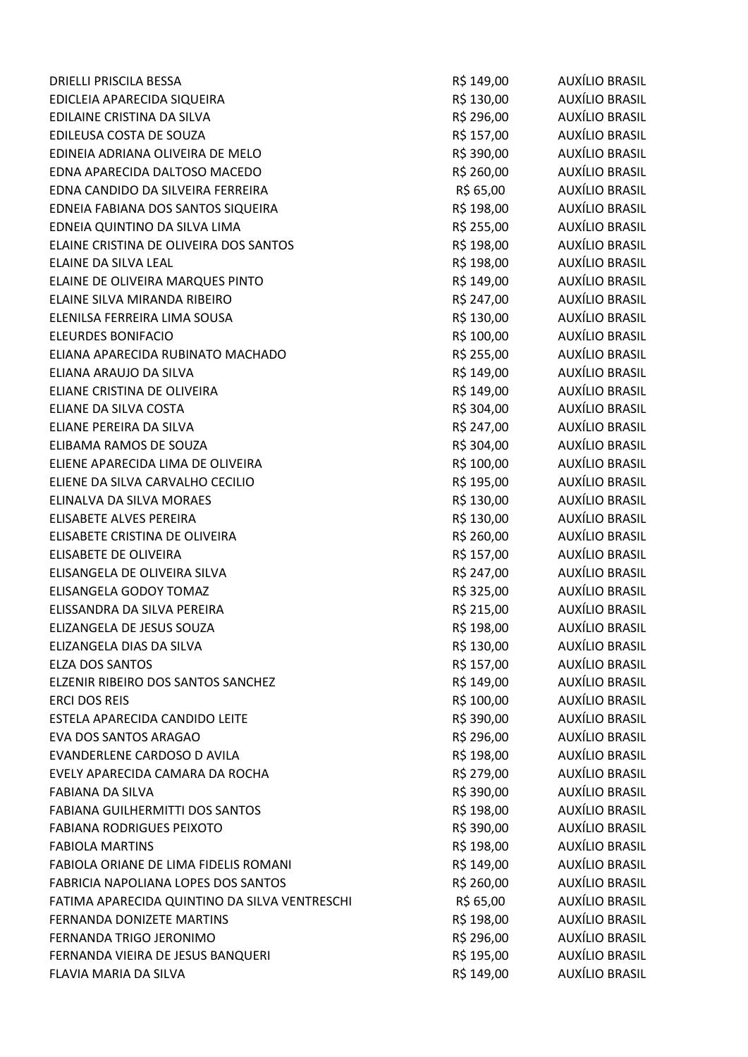| <b>DRIELLI PRISCILA BESSA</b>                 | R\$ 149,00 | AUXÍLIO BRASIL        |
|-----------------------------------------------|------------|-----------------------|
| EDICLEIA APARECIDA SIQUEIRA                   | R\$ 130,00 | AUXÍLIO BRASIL        |
| EDILAINE CRISTINA DA SILVA                    | R\$ 296,00 | AUXÍLIO BRASIL        |
| EDILEUSA COSTA DE SOUZA                       | R\$ 157,00 | AUXÍLIO BRASIL        |
| EDINEIA ADRIANA OLIVEIRA DE MELO              | R\$ 390,00 | AUXÍLIO BRASIL        |
| EDNA APARECIDA DALTOSO MACEDO                 | R\$ 260,00 | AUXÍLIO BRASIL        |
| EDNA CANDIDO DA SILVEIRA FERREIRA             | R\$ 65,00  | <b>AUXÍLIO BRASIL</b> |
| EDNEIA FABIANA DOS SANTOS SIQUEIRA            | R\$ 198,00 | AUXÍLIO BRASIL        |
| EDNEIA QUINTINO DA SILVA LIMA                 | R\$ 255,00 | AUXÍLIO BRASIL        |
| ELAINE CRISTINA DE OLIVEIRA DOS SANTOS        | R\$ 198,00 | AUXÍLIO BRASIL        |
| ELAINE DA SILVA LEAL                          | R\$ 198,00 | AUXÍLIO BRASIL        |
| ELAINE DE OLIVEIRA MARQUES PINTO              | R\$ 149,00 | <b>AUXÍLIO BRASIL</b> |
| ELAINE SILVA MIRANDA RIBEIRO                  | R\$ 247,00 | AUXÍLIO BRASIL        |
| ELENILSA FERREIRA LIMA SOUSA                  | R\$ 130,00 | AUXÍLIO BRASIL        |
| <b>ELEURDES BONIFACIO</b>                     | R\$ 100,00 | <b>AUXÍLIO BRASIL</b> |
| ELIANA APARECIDA RUBINATO MACHADO             | R\$ 255,00 | <b>AUXÍLIO BRASIL</b> |
| ELIANA ARAUJO DA SILVA                        | R\$ 149,00 | AUXÍLIO BRASIL        |
| ELIANE CRISTINA DE OLIVEIRA                   | R\$ 149,00 | <b>AUXÍLIO BRASIL</b> |
| ELIANE DA SILVA COSTA                         | R\$ 304,00 | <b>AUXÍLIO BRASIL</b> |
| ELIANE PEREIRA DA SILVA                       | R\$ 247,00 | AUXÍLIO BRASIL        |
| ELIBAMA RAMOS DE SOUZA                        | R\$ 304,00 | AUXÍLIO BRASIL        |
| ELIENE APARECIDA LIMA DE OLIVEIRA             | R\$ 100,00 | <b>AUXÍLIO BRASIL</b> |
| ELIENE DA SILVA CARVALHO CECILIO              | R\$ 195,00 | AUXÍLIO BRASIL        |
| ELINALVA DA SILVA MORAES                      | R\$ 130,00 | AUXÍLIO BRASIL        |
| ELISABETE ALVES PEREIRA                       | R\$ 130,00 | <b>AUXÍLIO BRASIL</b> |
| ELISABETE CRISTINA DE OLIVEIRA                | R\$ 260,00 | <b>AUXÍLIO BRASIL</b> |
| ELISABETE DE OLIVEIRA                         | R\$ 157,00 | <b>AUXÍLIO BRASIL</b> |
| ELISANGELA DE OLIVEIRA SILVA                  | R\$ 247,00 | AUXÍLIO BRASIL        |
| ELISANGELA GODOY TOMAZ                        | R\$ 325,00 | <b>AUXÍLIO BRASIL</b> |
| ELISSANDRA DA SILVA PEREIRA                   | R\$ 215,00 | <b>AUXÍLIO BRASIL</b> |
| ELIZANGELA DE JESUS SOUZA                     | R\$ 198,00 | <b>AUXÍLIO BRASIL</b> |
| ELIZANGELA DIAS DA SILVA                      | R\$ 130,00 | <b>AUXÍLIO BRASIL</b> |
| <b>ELZA DOS SANTOS</b>                        | R\$ 157,00 | <b>AUXÍLIO BRASIL</b> |
| ELZENIR RIBEIRO DOS SANTOS SANCHEZ            | R\$ 149,00 | <b>AUXÍLIO BRASIL</b> |
| <b>ERCI DOS REIS</b>                          | R\$ 100,00 | <b>AUXÍLIO BRASIL</b> |
| ESTELA APARECIDA CANDIDO LEITE                | R\$ 390,00 | <b>AUXÍLIO BRASIL</b> |
| <b>EVA DOS SANTOS ARAGAO</b>                  | R\$ 296,00 | AUXÍLIO BRASIL        |
| EVANDERLENE CARDOSO D AVILA                   | R\$ 198,00 | <b>AUXÍLIO BRASIL</b> |
| EVELY APARECIDA CAMARA DA ROCHA               | R\$ 279,00 | AUXÍLIO BRASIL        |
| FABIANA DA SILVA                              | R\$ 390,00 | AUXÍLIO BRASIL        |
| FABIANA GUILHERMITTI DOS SANTOS               | R\$ 198,00 | AUXÍLIO BRASIL        |
| <b>FABIANA RODRIGUES PEIXOTO</b>              | R\$ 390,00 | AUXÍLIO BRASIL        |
| <b>FABIOLA MARTINS</b>                        | R\$ 198,00 | AUXÍLIO BRASIL        |
| FABIOLA ORIANE DE LIMA FIDELIS ROMANI         | R\$ 149,00 | <b>AUXÍLIO BRASIL</b> |
| FABRICIA NAPOLIANA LOPES DOS SANTOS           | R\$ 260,00 | <b>AUXÍLIO BRASIL</b> |
| FATIMA APARECIDA QUINTINO DA SILVA VENTRESCHI | R\$ 65,00  | <b>AUXÍLIO BRASIL</b> |
| FERNANDA DONIZETE MARTINS                     | R\$ 198,00 | AUXÍLIO BRASIL        |
| FERNANDA TRIGO JERONIMO                       | R\$ 296,00 | AUXÍLIO BRASIL        |
| FERNANDA VIEIRA DE JESUS BANQUERI             | R\$ 195,00 | <b>AUXÍLIO BRASIL</b> |
| FLAVIA MARIA DA SILVA                         | R\$ 149,00 | <b>AUXÍLIO BRASIL</b> |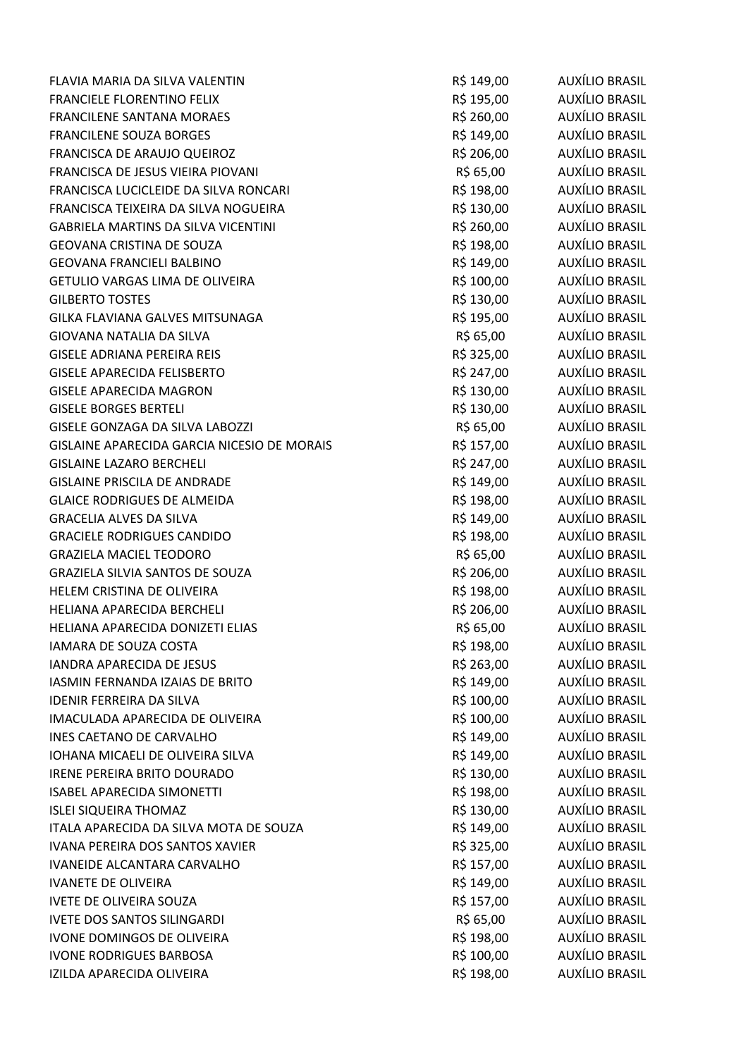| FLAVIA MARIA DA SILVA VALENTIN              | R\$ 149,00 | AUXÍLIO BRASIL        |
|---------------------------------------------|------------|-----------------------|
| <b>FRANCIELE FLORENTINO FELIX</b>           | R\$ 195,00 | AUXÍLIO BRASIL        |
| FRANCILENE SANTANA MORAES                   | R\$ 260,00 | AUXÍLIO BRASIL        |
| <b>FRANCILENE SOUZA BORGES</b>              | R\$ 149,00 | AUXÍLIO BRASIL        |
| FRANCISCA DE ARAUJO QUEIROZ                 | R\$ 206,00 | AUXÍLIO BRASIL        |
| FRANCISCA DE JESUS VIEIRA PIOVANI           | R\$ 65,00  | AUXÍLIO BRASIL        |
| FRANCISCA LUCICLEIDE DA SILVA RONCARI       | R\$ 198,00 | AUXÍLIO BRASIL        |
| FRANCISCA TEIXEIRA DA SILVA NOGUEIRA        | R\$ 130,00 | AUXÍLIO BRASIL        |
| <b>GABRIELA MARTINS DA SILVA VICENTINI</b>  | R\$ 260,00 | AUXÍLIO BRASIL        |
| <b>GEOVANA CRISTINA DE SOUZA</b>            | R\$ 198,00 | AUXÍLIO BRASIL        |
| <b>GEOVANA FRANCIELI BALBINO</b>            | R\$ 149,00 | AUXÍLIO BRASIL        |
| GETULIO VARGAS LIMA DE OLIVEIRA             | R\$ 100,00 | AUXÍLIO BRASIL        |
| <b>GILBERTO TOSTES</b>                      | R\$ 130,00 | AUXÍLIO BRASIL        |
| GILKA FLAVIANA GALVES MITSUNAGA             | R\$ 195,00 | AUXÍLIO BRASIL        |
| <b>GIOVANA NATALIA DA SILVA</b>             | R\$ 65,00  | AUXÍLIO BRASIL        |
| <b>GISELE ADRIANA PEREIRA REIS</b>          | R\$ 325,00 | AUXÍLIO BRASIL        |
| <b>GISELE APARECIDA FELISBERTO</b>          | R\$ 247,00 | AUXÍLIO BRASIL        |
| <b>GISELE APARECIDA MAGRON</b>              | R\$ 130,00 | AUXÍLIO BRASIL        |
| <b>GISELE BORGES BERTELI</b>                | R\$ 130,00 | <b>AUXÍLIO BRASIL</b> |
| GISELE GONZAGA DA SILVA LABOZZI             | R\$ 65,00  | AUXÍLIO BRASIL        |
| GISLAINE APARECIDA GARCIA NICESIO DE MORAIS | R\$ 157,00 | AUXÍLIO BRASIL        |
| <b>GISLAINE LAZARO BERCHELI</b>             | R\$ 247,00 | AUXÍLIO BRASIL        |
| <b>GISLAINE PRISCILA DE ANDRADE</b>         | R\$ 149,00 | AUXÍLIO BRASIL        |
| <b>GLAICE RODRIGUES DE ALMEIDA</b>          | R\$ 198,00 | AUXÍLIO BRASIL        |
| <b>GRACELIA ALVES DA SILVA</b>              | R\$ 149,00 | AUXÍLIO BRASIL        |
| <b>GRACIELE RODRIGUES CANDIDO</b>           | R\$ 198,00 | AUXÍLIO BRASIL        |
| <b>GRAZIELA MACIEL TEODORO</b>              | R\$ 65,00  | AUXÍLIO BRASIL        |
| GRAZIELA SILVIA SANTOS DE SOUZA             | R\$ 206,00 | AUXÍLIO BRASIL        |
| HELEM CRISTINA DE OLIVEIRA                  | R\$ 198,00 | AUXÍLIO BRASIL        |
| HELIANA APARECIDA BERCHELI                  | R\$ 206,00 | AUXÍLIO BRASIL        |
| HELIANA APARECIDA DONIZETI ELIAS            | R\$ 65,00  | <b>AUXÍLIO BRASIL</b> |
| IAMARA DE SOUZA COSTA                       | R\$ 198,00 | AUXÍLIO BRASIL        |
| <b>IANDRA APARECIDA DE JESUS</b>            | R\$ 263,00 | <b>AUXÍLIO BRASIL</b> |
| <b>IASMIN FERNANDA IZAIAS DE BRITO</b>      | R\$ 149,00 | AUXÍLIO BRASIL        |
| <b>IDENIR FERREIRA DA SILVA</b>             | R\$ 100,00 | AUXÍLIO BRASIL        |
| IMACULADA APARECIDA DE OLIVEIRA             | R\$ 100,00 | AUXÍLIO BRASIL        |
| INES CAETANO DE CARVALHO                    | R\$ 149,00 | AUXÍLIO BRASIL        |
| IOHANA MICAELI DE OLIVEIRA SILVA            | R\$ 149,00 | AUXÍLIO BRASIL        |
| IRENE PEREIRA BRITO DOURADO                 | R\$ 130,00 | AUXÍLIO BRASIL        |
| <b>ISABEL APARECIDA SIMONETTI</b>           | R\$ 198,00 | <b>AUXÍLIO BRASIL</b> |
| <b>ISLEI SIQUEIRA THOMAZ</b>                | R\$ 130,00 | <b>AUXÍLIO BRASIL</b> |
| ITALA APARECIDA DA SILVA MOTA DE SOUZA      | R\$ 149,00 | AUXÍLIO BRASIL        |
| IVANA PEREIRA DOS SANTOS XAVIER             | R\$ 325,00 | <b>AUXÍLIO BRASIL</b> |
| IVANEIDE ALCANTARA CARVALHO                 | R\$ 157,00 | AUXÍLIO BRASIL        |
| <b>IVANETE DE OLIVEIRA</b>                  | R\$ 149,00 | <b>AUXÍLIO BRASIL</b> |
| IVETE DE OLIVEIRA SOUZA                     | R\$ 157,00 | AUXÍLIO BRASIL        |
| <b>IVETE DOS SANTOS SILINGARDI</b>          | R\$ 65,00  | AUXÍLIO BRASIL        |
| IVONE DOMINGOS DE OLIVEIRA                  | R\$ 198,00 | AUXÍLIO BRASIL        |
| <b>IVONE RODRIGUES BARBOSA</b>              | R\$ 100,00 | <b>AUXÍLIO BRASIL</b> |
| IZILDA APARECIDA OLIVEIRA                   | R\$ 198,00 | <b>AUXÍLIO BRASIL</b> |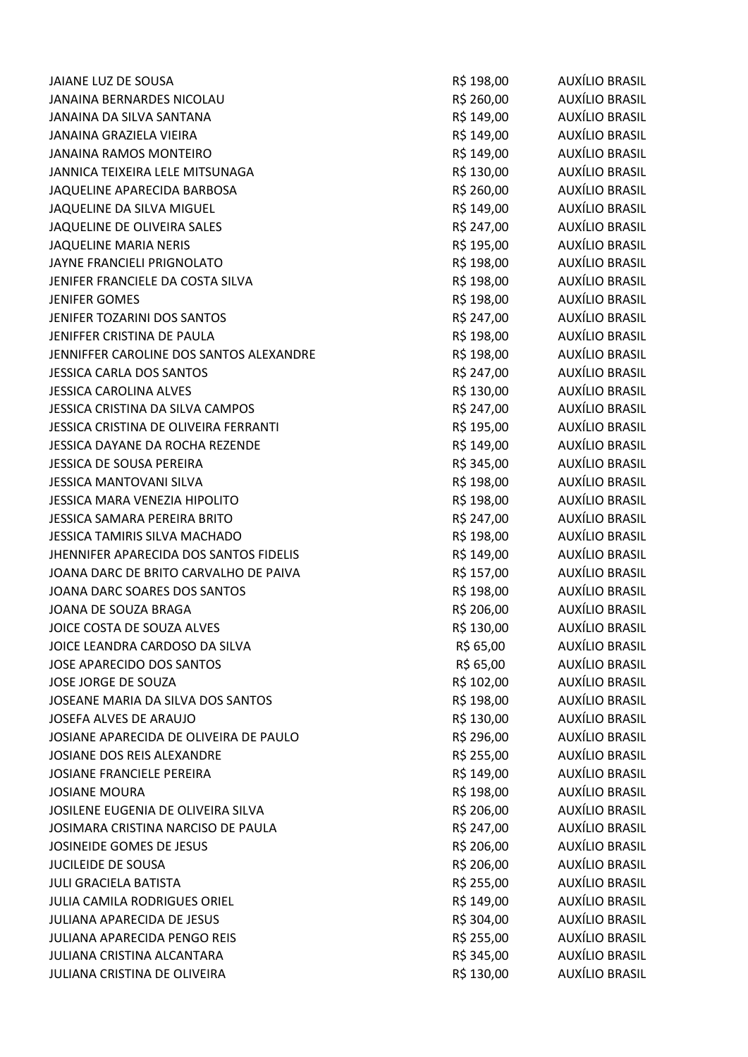| JAIANE LUZ DE SOUSA                     | R\$ 198,00 | AUXÍLIO BRASIL        |
|-----------------------------------------|------------|-----------------------|
| JANAINA BERNARDES NICOLAU               | R\$ 260,00 | AUXÍLIO BRASIL        |
| JANAINA DA SILVA SANTANA                | R\$ 149,00 | AUXÍLIO BRASIL        |
| JANAINA GRAZIELA VIEIRA                 | R\$ 149,00 | AUXÍLIO BRASIL        |
| <b>JANAINA RAMOS MONTEIRO</b>           | R\$ 149,00 | AUXÍLIO BRASIL        |
| JANNICA TEIXEIRA LELE MITSUNAGA         | R\$ 130,00 | AUXÍLIO BRASIL        |
| JAQUELINE APARECIDA BARBOSA             | R\$ 260,00 | <b>AUXÍLIO BRASIL</b> |
| JAQUELINE DA SILVA MIGUEL               | R\$ 149,00 | AUXÍLIO BRASIL        |
| JAQUELINE DE OLIVEIRA SALES             | R\$ 247,00 | AUXÍLIO BRASIL        |
| JAQUELINE MARIA NERIS                   | R\$ 195,00 | AUXÍLIO BRASIL        |
| JAYNE FRANCIELI PRIGNOLATO              | R\$ 198,00 | AUXÍLIO BRASIL        |
| JENIFER FRANCIELE DA COSTA SILVA        | R\$ 198,00 | AUXÍLIO BRASIL        |
| <b>JENIFER GOMES</b>                    | R\$ 198,00 | AUXÍLIO BRASIL        |
| JENIFER TOZARINI DOS SANTOS             | R\$ 247,00 | AUXÍLIO BRASIL        |
| JENIFFER CRISTINA DE PAULA              | R\$ 198,00 | AUXÍLIO BRASIL        |
| JENNIFFER CAROLINE DOS SANTOS ALEXANDRE | R\$ 198,00 | AUXÍLIO BRASIL        |
| <b>JESSICA CARLA DOS SANTOS</b>         | R\$ 247,00 | AUXÍLIO BRASIL        |
| <b>JESSICA CAROLINA ALVES</b>           | R\$ 130,00 | AUXÍLIO BRASIL        |
| JESSICA CRISTINA DA SILVA CAMPOS        | R\$ 247,00 | <b>AUXÍLIO BRASIL</b> |
| JESSICA CRISTINA DE OLIVEIRA FERRANTI   | R\$ 195,00 | AUXÍLIO BRASIL        |
| JESSICA DAYANE DA ROCHA REZENDE         | R\$ 149,00 | <b>AUXÍLIO BRASIL</b> |
| JESSICA DE SOUSA PEREIRA                | R\$ 345,00 | AUXÍLIO BRASIL        |
| <b>JESSICA MANTOVANI SILVA</b>          | R\$ 198,00 | <b>AUXÍLIO BRASIL</b> |
| JESSICA MARA VENEZIA HIPOLITO           | R\$ 198,00 | AUXÍLIO BRASIL        |
| <b>JESSICA SAMARA PEREIRA BRITO</b>     | R\$ 247,00 | AUXÍLIO BRASIL        |
| JESSICA TAMIRIS SILVA MACHADO           | R\$ 198,00 | <b>AUXÍLIO BRASIL</b> |
| JHENNIFER APARECIDA DOS SANTOS FIDELIS  | R\$ 149,00 | AUXÍLIO BRASIL        |
| JOANA DARC DE BRITO CARVALHO DE PAIVA   | R\$ 157,00 | AUXÍLIO BRASIL        |
| JOANA DARC SOARES DOS SANTOS            | R\$ 198,00 | AUXÍLIO BRASIL        |
| JOANA DE SOUZA BRAGA                    | R\$ 206,00 | AUXÍLIO BRASIL        |
| JOICE COSTA DE SOUZA ALVES              | R\$ 130,00 | AUXÍLIO BRASIL        |
| JOICE LEANDRA CARDOSO DA SILVA          | R\$ 65,00  | AUXÍLIO BRASIL        |
| JOSE APARECIDO DOS SANTOS               | R\$ 65,00  | <b>AUXÍLIO BRASIL</b> |
| JOSE JORGE DE SOUZA                     | R\$ 102,00 | AUXÍLIO BRASIL        |
| JOSEANE MARIA DA SILVA DOS SANTOS       | R\$ 198,00 | AUXÍLIO BRASIL        |
| JOSEFA ALVES DE ARAUJO                  | R\$ 130,00 | AUXÍLIO BRASIL        |
| JOSIANE APARECIDA DE OLIVEIRA DE PAULO  | R\$ 296,00 | AUXÍLIO BRASIL        |
| JOSIANE DOS REIS ALEXANDRE              | R\$ 255,00 | AUXÍLIO BRASIL        |
| JOSIANE FRANCIELE PEREIRA               | R\$ 149,00 | AUXÍLIO BRASIL        |
| <b>JOSIANE MOURA</b>                    | R\$ 198,00 | <b>AUXÍLIO BRASIL</b> |
| JOSILENE EUGENIA DE OLIVEIRA SILVA      | R\$ 206,00 | AUXÍLIO BRASIL        |
| JOSIMARA CRISTINA NARCISO DE PAULA      | R\$ 247,00 | AUXÍLIO BRASIL        |
| JOSINEIDE GOMES DE JESUS                | R\$ 206,00 | AUXÍLIO BRASIL        |
| <b>JUCILEIDE DE SOUSA</b>               | R\$ 206,00 | AUXÍLIO BRASIL        |
| <b>JULI GRACIELA BATISTA</b>            | R\$ 255,00 | <b>AUXÍLIO BRASIL</b> |
| <b>JULIA CAMILA RODRIGUES ORIEL</b>     | R\$ 149,00 | AUXÍLIO BRASIL        |
| <b>JULIANA APARECIDA DE JESUS</b>       | R\$ 304,00 | AUXÍLIO BRASIL        |
| JULIANA APARECIDA PENGO REIS            | R\$ 255,00 | AUXÍLIO BRASIL        |
| JULIANA CRISTINA ALCANTARA              | R\$ 345,00 | <b>AUXÍLIO BRASIL</b> |
| JULIANA CRISTINA DE OLIVEIRA            | R\$ 130,00 | AUXÍLIO BRASIL        |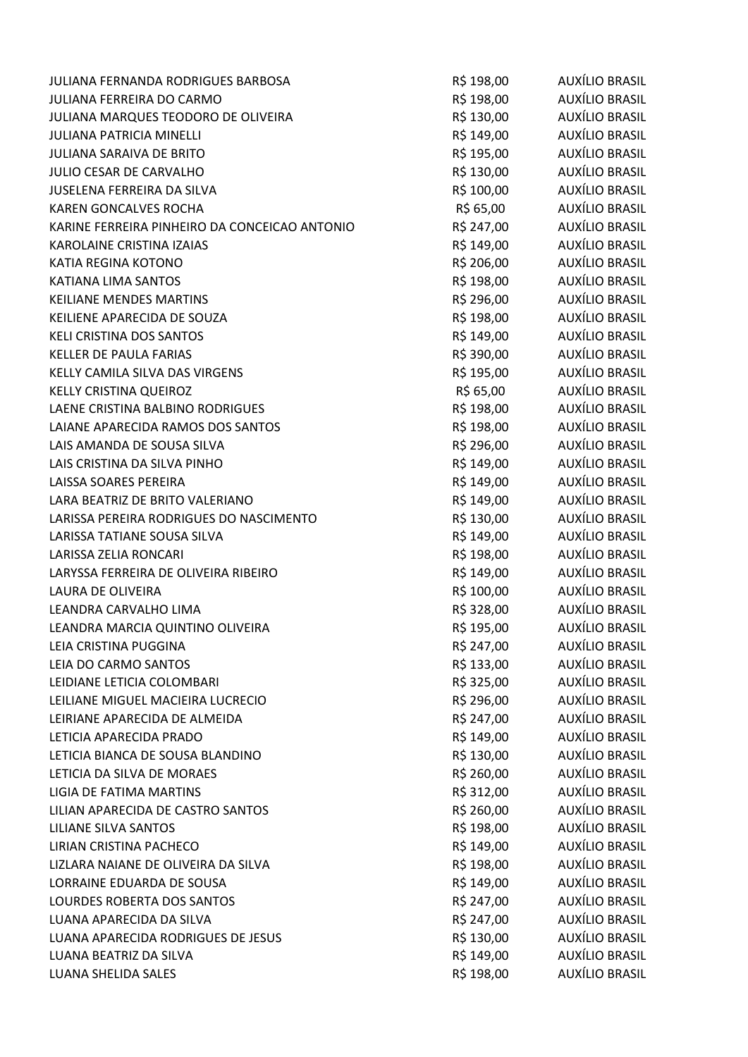| JULIANA FERNANDA RODRIGUES BARBOSA            | R\$ 198,00 | AUXÍLIO BRASIL        |
|-----------------------------------------------|------------|-----------------------|
| <b>JULIANA FERREIRA DO CARMO</b>              | R\$ 198,00 | AUXÍLIO BRASIL        |
| JULIANA MARQUES TEODORO DE OLIVEIRA           | R\$ 130,00 | AUXÍLIO BRASIL        |
| <b>JULIANA PATRICIA MINELLI</b>               | R\$ 149,00 | AUXÍLIO BRASIL        |
| <b>JULIANA SARAIVA DE BRITO</b>               | R\$ 195,00 | AUXÍLIO BRASIL        |
| JULIO CESAR DE CARVALHO                       | R\$ 130,00 | AUXÍLIO BRASIL        |
| <b>JUSELENA FERREIRA DA SILVA</b>             | R\$ 100,00 | <b>AUXÍLIO BRASIL</b> |
| <b>KAREN GONCALVES ROCHA</b>                  | R\$ 65,00  | AUXÍLIO BRASIL        |
| KARINE FERREIRA PINHEIRO DA CONCEICAO ANTONIO | R\$ 247,00 | AUXÍLIO BRASIL        |
| KAROLAINE CRISTINA IZAIAS                     | R\$ 149,00 | AUXÍLIO BRASIL        |
| KATIA REGINA KOTONO                           | R\$ 206,00 | AUXÍLIO BRASIL        |
| KATIANA LIMA SANTOS                           | R\$ 198,00 | <b>AUXÍLIO BRASIL</b> |
| <b>KEILIANE MENDES MARTINS</b>                | R\$ 296,00 | AUXÍLIO BRASIL        |
| KEILIENE APARECIDA DE SOUZA                   | R\$ 198,00 | AUXÍLIO BRASIL        |
| KELI CRISTINA DOS SANTOS                      | R\$ 149,00 | AUXÍLIO BRASIL        |
| <b>KELLER DE PAULA FARIAS</b>                 | R\$ 390,00 | <b>AUXÍLIO BRASIL</b> |
| KELLY CAMILA SILVA DAS VIRGENS                | R\$ 195,00 | <b>AUXÍLIO BRASIL</b> |
| <b>KELLY CRISTINA QUEIROZ</b>                 | R\$ 65,00  | <b>AUXÍLIO BRASIL</b> |
| LAENE CRISTINA BALBINO RODRIGUES              | R\$ 198,00 | <b>AUXÍLIO BRASIL</b> |
| LAIANE APARECIDA RAMOS DOS SANTOS             | R\$ 198,00 | AUXÍLIO BRASIL        |
| LAIS AMANDA DE SOUSA SILVA                    | R\$ 296,00 | AUXÍLIO BRASIL        |
| LAIS CRISTINA DA SILVA PINHO                  | R\$ 149,00 | AUXÍLIO BRASIL        |
| LAISSA SOARES PEREIRA                         | R\$ 149,00 | AUXÍLIO BRASIL        |
| LARA BEATRIZ DE BRITO VALERIANO               | R\$ 149,00 | AUXÍLIO BRASIL        |
| LARISSA PEREIRA RODRIGUES DO NASCIMENTO       | R\$ 130,00 | AUXÍLIO BRASIL        |
| LARISSA TATIANE SOUSA SILVA                   | R\$ 149,00 | <b>AUXÍLIO BRASIL</b> |
| LARISSA ZELIA RONCARI                         | R\$ 198,00 | <b>AUXÍLIO BRASIL</b> |
| LARYSSA FERREIRA DE OLIVEIRA RIBEIRO          | R\$ 149,00 | AUXÍLIO BRASIL        |
| LAURA DE OLIVEIRA                             | R\$ 100,00 | AUXÍLIO BRASIL        |
| LEANDRA CARVALHO LIMA                         | R\$ 328,00 | <b>AUXÍLIO BRASIL</b> |
| LEANDRA MARCIA QUINTINO OLIVEIRA              | R\$ 195,00 | <b>AUXÍLIO BRASIL</b> |
| LEIA CRISTINA PUGGINA                         | R\$ 247,00 | AUXÍLIO BRASIL        |
| LEIA DO CARMO SANTOS                          | R\$ 133,00 | <b>AUXÍLIO BRASIL</b> |
| LEIDIANE LETICIA COLOMBARI                    | R\$ 325,00 | <b>AUXÍLIO BRASIL</b> |
| LEILIANE MIGUEL MACIEIRA LUCRECIO             | R\$ 296,00 | <b>AUXÍLIO BRASIL</b> |
| LEIRIANE APARECIDA DE ALMEIDA                 | R\$ 247,00 | <b>AUXÍLIO BRASIL</b> |
| LETICIA APARECIDA PRADO                       | R\$ 149,00 | <b>AUXÍLIO BRASIL</b> |
| LETICIA BIANCA DE SOUSA BLANDINO              | R\$ 130,00 | <b>AUXÍLIO BRASIL</b> |
| LETICIA DA SILVA DE MORAES                    | R\$ 260,00 | <b>AUXÍLIO BRASIL</b> |
| <b>LIGIA DE FATIMA MARTINS</b>                | R\$ 312,00 | <b>AUXÍLIO BRASIL</b> |
| LILIAN APARECIDA DE CASTRO SANTOS             | R\$ 260,00 | AUXÍLIO BRASIL        |
| LILIANE SILVA SANTOS                          | R\$ 198,00 | <b>AUXÍLIO BRASIL</b> |
| LIRIAN CRISTINA PACHECO                       | R\$ 149,00 | <b>AUXÍLIO BRASIL</b> |
| LIZLARA NAIANE DE OLIVEIRA DA SILVA           | R\$ 198,00 | <b>AUXÍLIO BRASIL</b> |
| LORRAINE EDUARDA DE SOUSA                     | R\$ 149,00 | <b>AUXÍLIO BRASIL</b> |
| LOURDES ROBERTA DOS SANTOS                    | R\$ 247,00 | <b>AUXÍLIO BRASIL</b> |
| LUANA APARECIDA DA SILVA                      | R\$ 247,00 | AUXÍLIO BRASIL        |
| LUANA APARECIDA RODRIGUES DE JESUS            | R\$ 130,00 | AUXÍLIO BRASIL        |
| LUANA BEATRIZ DA SILVA                        | R\$ 149,00 | <b>AUXÍLIO BRASIL</b> |
| LUANA SHELIDA SALES                           | R\$ 198,00 | <b>AUXÍLIO BRASIL</b> |
|                                               |            |                       |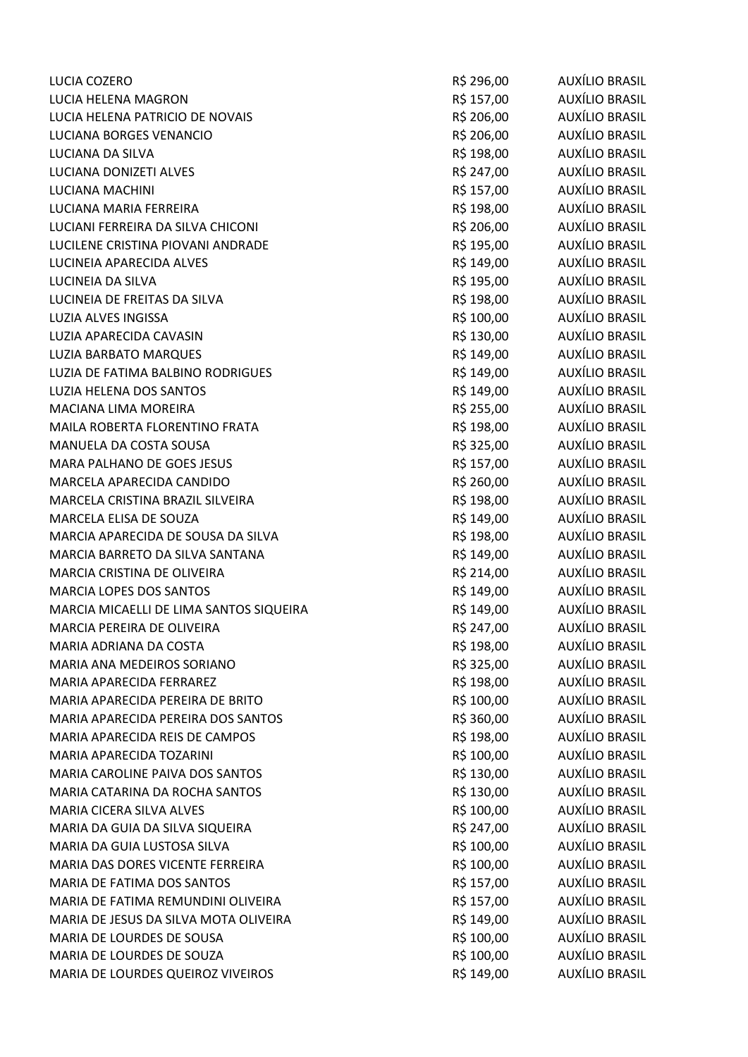| LUCIA COZERO                            | R\$ 296,00 | AUXÍLIO BRASIL        |
|-----------------------------------------|------------|-----------------------|
| LUCIA HELENA MAGRON                     | R\$ 157,00 | AUXÍLIO BRASIL        |
| LUCIA HELENA PATRICIO DE NOVAIS         | R\$ 206,00 | <b>AUXÍLIO BRASIL</b> |
| LUCIANA BORGES VENANCIO                 | R\$ 206,00 | <b>AUXÍLIO BRASIL</b> |
| LUCIANA DA SILVA                        | R\$ 198,00 | AUXÍLIO BRASIL        |
| LUCIANA DONIZETI ALVES                  | R\$ 247,00 | AUXÍLIO BRASIL        |
| LUCIANA MACHINI                         | R\$ 157,00 | <b>AUXÍLIO BRASIL</b> |
| LUCIANA MARIA FERREIRA                  | R\$ 198,00 | AUXÍLIO BRASIL        |
| LUCIANI FERREIRA DA SILVA CHICONI       | R\$ 206,00 | <b>AUXÍLIO BRASIL</b> |
| LUCILENE CRISTINA PIOVANI ANDRADE       | R\$ 195,00 | AUXÍLIO BRASIL        |
| LUCINEIA APARECIDA ALVES                | R\$ 149,00 | AUXÍLIO BRASIL        |
| LUCINEIA DA SILVA                       | R\$ 195,00 | <b>AUXÍLIO BRASIL</b> |
| LUCINEIA DE FREITAS DA SILVA            | R\$ 198,00 | AUXÍLIO BRASIL        |
| LUZIA ALVES INGISSA                     | R\$ 100,00 | <b>AUXÍLIO BRASIL</b> |
| <b>LUZIA APARECIDA CAVASIN</b>          | R\$ 130,00 | AUXÍLIO BRASIL        |
| LUZIA BARBATO MARQUES                   | R\$ 149,00 | <b>AUXÍLIO BRASIL</b> |
| LUZIA DE FATIMA BALBINO RODRIGUES       | R\$ 149,00 | AUXÍLIO BRASIL        |
| LUZIA HELENA DOS SANTOS                 | R\$ 149,00 | <b>AUXÍLIO BRASIL</b> |
| MACIANA LIMA MOREIRA                    | R\$ 255,00 | <b>AUXÍLIO BRASIL</b> |
| MAILA ROBERTA FLORENTINO FRATA          | R\$ 198,00 | AUXÍLIO BRASIL        |
| MANUELA DA COSTA SOUSA                  | R\$ 325,00 | AUXÍLIO BRASIL        |
| MARA PALHANO DE GOES JESUS              | R\$ 157,00 | AUXÍLIO BRASIL        |
| MARCELA APARECIDA CANDIDO               | R\$ 260,00 | <b>AUXÍLIO BRASIL</b> |
| MARCELA CRISTINA BRAZIL SILVEIRA        | R\$ 198,00 | AUXÍLIO BRASIL        |
| MARCELA ELISA DE SOUZA                  | R\$ 149,00 | AUXÍLIO BRASIL        |
| MARCIA APARECIDA DE SOUSA DA SILVA      | R\$ 198,00 | <b>AUXÍLIO BRASIL</b> |
| MARCIA BARRETO DA SILVA SANTANA         | R\$ 149,00 | <b>AUXÍLIO BRASIL</b> |
| MARCIA CRISTINA DE OLIVEIRA             | R\$ 214,00 | AUXÍLIO BRASIL        |
| MARCIA LOPES DOS SANTOS                 | R\$ 149,00 | AUXÍLIO BRASIL        |
| MARCIA MICAELLI DE LIMA SANTOS SIQUEIRA | R\$ 149,00 | <b>AUXÍLIO BRASIL</b> |
| MARCIA PEREIRA DE OLIVEIRA              | R\$ 247,00 | AUXÍLIO BRASIL        |
| MARIA ADRIANA DA COSTA                  | R\$ 198,00 | AUXÍLIO BRASIL        |
| MARIA ANA MEDEIROS SORIANO              | R\$ 325,00 | <b>AUXÍLIO BRASIL</b> |
| MARIA APARECIDA FERRAREZ                | R\$ 198,00 | AUXÍLIO BRASIL        |
| MARIA APARECIDA PEREIRA DE BRITO        | R\$ 100,00 | <b>AUXÍLIO BRASIL</b> |
| MARIA APARECIDA PEREIRA DOS SANTOS      | R\$ 360,00 | AUXÍLIO BRASIL        |
| MARIA APARECIDA REIS DE CAMPOS          | R\$ 198,00 | AUXÍLIO BRASIL        |
| MARIA APARECIDA TOZARINI                | R\$ 100,00 | <b>AUXÍLIO BRASIL</b> |
| MARIA CAROLINE PAIVA DOS SANTOS         | R\$ 130,00 | AUXÍLIO BRASIL        |
| MARIA CATARINA DA ROCHA SANTOS          | R\$ 130,00 | <b>AUXÍLIO BRASIL</b> |
| MARIA CICERA SILVA ALVES                | R\$ 100,00 | <b>AUXÍLIO BRASIL</b> |
| MARIA DA GUIA DA SILVA SIQUEIRA         | R\$ 247,00 | <b>AUXÍLIO BRASIL</b> |
| MARIA DA GUIA LUSTOSA SILVA             | R\$ 100,00 | AUXÍLIO BRASIL        |
| MARIA DAS DORES VICENTE FERREIRA        | R\$ 100,00 | AUXÍLIO BRASIL        |
| MARIA DE FATIMA DOS SANTOS              | R\$ 157,00 | <b>AUXÍLIO BRASIL</b> |
| MARIA DE FATIMA REMUNDINI OLIVEIRA      | R\$ 157,00 | <b>AUXÍLIO BRASIL</b> |
| MARIA DE JESUS DA SILVA MOTA OLIVEIRA   | R\$ 149,00 | <b>AUXÍLIO BRASIL</b> |
| MARIA DE LOURDES DE SOUSA               | R\$ 100,00 | AUXÍLIO BRASIL        |
| MARIA DE LOURDES DE SOUZA               | R\$ 100,00 | <b>AUXÍLIO BRASIL</b> |
| MARIA DE LOURDES QUEIROZ VIVEIROS       | R\$ 149,00 | AUXÍLIO BRASIL        |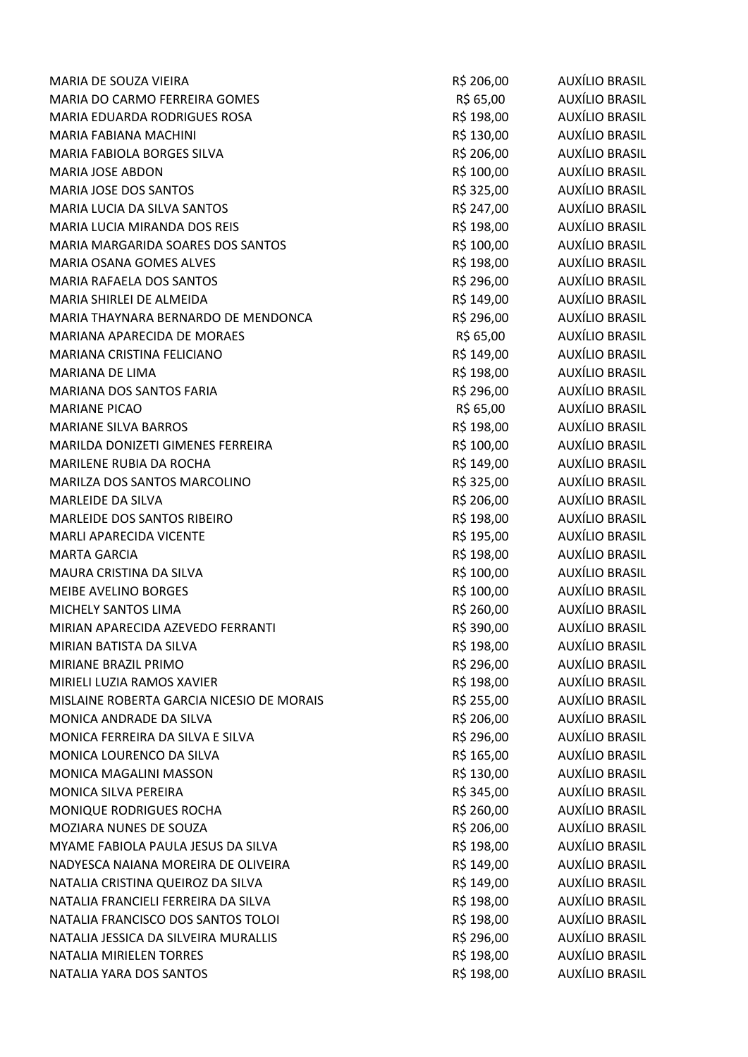| MARIA DE SOUZA VIEIRA                     | R\$ 206,00 | AUXÍLIO BRASIL        |
|-------------------------------------------|------------|-----------------------|
| MARIA DO CARMO FERREIRA GOMES             | R\$ 65,00  | AUXÍLIO BRASIL        |
| MARIA EDUARDA RODRIGUES ROSA              | R\$ 198,00 | AUXÍLIO BRASIL        |
| MARIA FABIANA MACHINI                     | R\$ 130,00 | AUXÍLIO BRASIL        |
| MARIA FABIOLA BORGES SILVA                | R\$ 206,00 | AUXÍLIO BRASIL        |
| <b>MARIA JOSE ABDON</b>                   | R\$ 100,00 | <b>AUXÍLIO BRASIL</b> |
| MARIA JOSE DOS SANTOS                     | R\$ 325,00 | <b>AUXÍLIO BRASIL</b> |
| MARIA LUCIA DA SILVA SANTOS               | R\$ 247,00 | <b>AUXÍLIO BRASIL</b> |
| MARIA LUCIA MIRANDA DOS REIS              | R\$ 198,00 | AUXÍLIO BRASIL        |
| MARIA MARGARIDA SOARES DOS SANTOS         | R\$ 100,00 | AUXÍLIO BRASIL        |
| MARIA OSANA GOMES ALVES                   | R\$ 198,00 | AUXÍLIO BRASIL        |
| MARIA RAFAELA DOS SANTOS                  | R\$ 296,00 | <b>AUXÍLIO BRASIL</b> |
| MARIA SHIRLEI DE ALMEIDA                  | R\$ 149,00 | AUXÍLIO BRASIL        |
| MARIA THAYNARA BERNARDO DE MENDONCA       | R\$ 296,00 | <b>AUXÍLIO BRASIL</b> |
| MARIANA APARECIDA DE MORAES               | R\$ 65,00  | AUXÍLIO BRASIL        |
| MARIANA CRISTINA FELICIANO                | R\$ 149,00 | <b>AUXÍLIO BRASIL</b> |
| MARIANA DE LIMA                           | R\$ 198,00 | <b>AUXÍLIO BRASIL</b> |
| MARIANA DOS SANTOS FARIA                  | R\$ 296,00 | <b>AUXÍLIO BRASIL</b> |
| <b>MARIANE PICAO</b>                      | R\$ 65,00  | <b>AUXÍLIO BRASIL</b> |
| <b>MARIANE SILVA BARROS</b>               | R\$ 198,00 | AUXÍLIO BRASIL        |
| MARILDA DONIZETI GIMENES FERREIRA         | R\$ 100,00 | AUXÍLIO BRASIL        |
| MARILENE RUBIA DA ROCHA                   | R\$ 149,00 | AUXÍLIO BRASIL        |
| MARILZA DOS SANTOS MARCOLINO              | R\$ 325,00 | AUXÍLIO BRASIL        |
| MARLEIDE DA SILVA                         | R\$ 206,00 | AUXÍLIO BRASIL        |
| MARLEIDE DOS SANTOS RIBEIRO               | R\$ 198,00 | <b>AUXÍLIO BRASIL</b> |
| MARLI APARECIDA VICENTE                   | R\$ 195,00 | <b>AUXÍLIO BRASIL</b> |
| <b>MARTA GARCIA</b>                       | R\$ 198,00 | <b>AUXÍLIO BRASIL</b> |
| MAURA CRISTINA DA SILVA                   | R\$ 100,00 | AUXÍLIO BRASIL        |
| <b>MEIBE AVELINO BORGES</b>               | R\$ 100,00 | AUXÍLIO BRASIL        |
| MICHELY SANTOS LIMA                       | R\$ 260,00 | <b>AUXÍLIO BRASIL</b> |
| MIRIAN APARECIDA AZEVEDO FERRANTI         | R\$ 390,00 | <b>AUXÍLIO BRASIL</b> |
| MIRIAN BATISTA DA SILVA                   | R\$ 198,00 | AUXÍLIO BRASIL        |
| MIRIANE BRAZIL PRIMO                      | R\$ 296,00 | <b>AUXÍLIO BRASIL</b> |
| MIRIELI LUZIA RAMOS XAVIER                | R\$ 198,00 | <b>AUXÍLIO BRASIL</b> |
| MISLAINE ROBERTA GARCIA NICESIO DE MORAIS | R\$ 255,00 | <b>AUXÍLIO BRASIL</b> |
| MONICA ANDRADE DA SILVA                   | R\$ 206,00 | AUXÍLIO BRASIL        |
| MONICA FERREIRA DA SILVA E SILVA          | R\$ 296,00 | <b>AUXÍLIO BRASIL</b> |
| MONICA LOURENCO DA SILVA                  | R\$ 165,00 | <b>AUXÍLIO BRASIL</b> |
| MONICA MAGALINI MASSON                    | R\$ 130,00 | AUXÍLIO BRASIL        |
| MONICA SILVA PEREIRA                      | R\$ 345,00 | AUXÍLIO BRASIL        |
| MONIQUE RODRIGUES ROCHA                   | R\$ 260,00 | AUXÍLIO BRASIL        |
| MOZIARA NUNES DE SOUZA                    | R\$ 206,00 | <b>AUXÍLIO BRASIL</b> |
| MYAME FABIOLA PAULA JESUS DA SILVA        | R\$ 198,00 | <b>AUXÍLIO BRASIL</b> |
| NADYESCA NAIANA MOREIRA DE OLIVEIRA       | R\$ 149,00 | <b>AUXÍLIO BRASIL</b> |
| NATALIA CRISTINA QUEIROZ DA SILVA         | R\$ 149,00 | <b>AUXÍLIO BRASIL</b> |
| NATALIA FRANCIELI FERREIRA DA SILVA       | R\$ 198,00 | <b>AUXÍLIO BRASIL</b> |
| NATALIA FRANCISCO DOS SANTOS TOLOI        | R\$ 198,00 | AUXÍLIO BRASIL        |
| NATALIA JESSICA DA SILVEIRA MURALLIS      | R\$ 296,00 | AUXÍLIO BRASIL        |
| <b>NATALIA MIRIELEN TORRES</b>            | R\$ 198,00 | <b>AUXÍLIO BRASIL</b> |
| NATALIA YARA DOS SANTOS                   | R\$ 198,00 | <b>AUXÍLIO BRASIL</b> |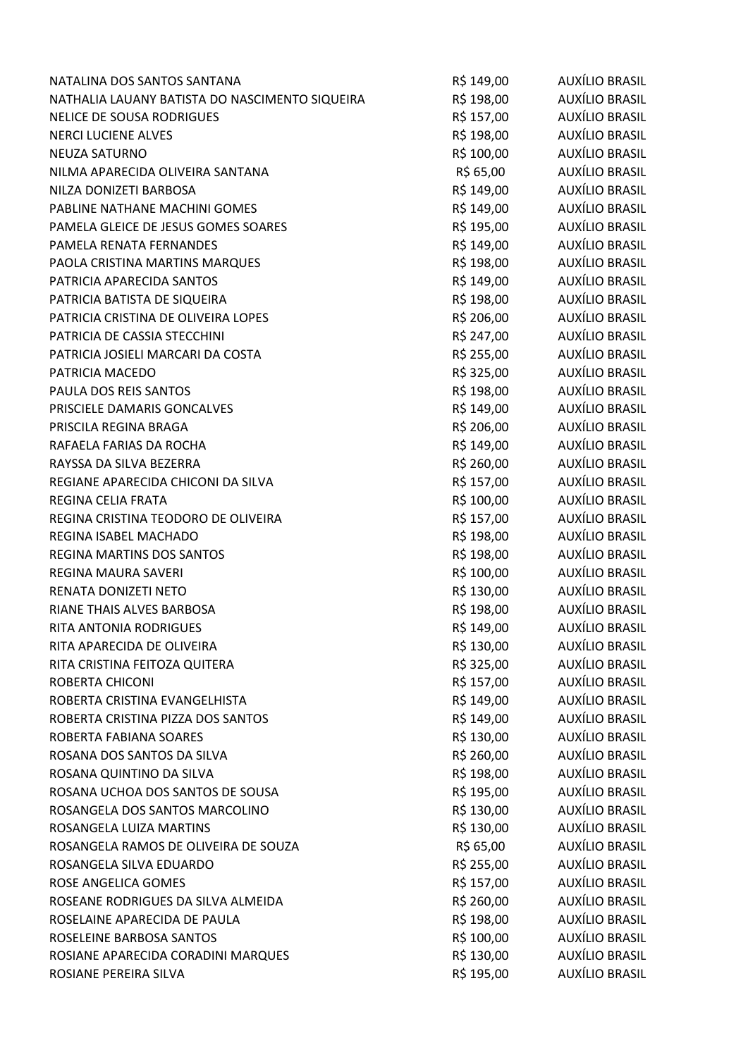| NATALINA DOS SANTOS SANTANA                    | R\$ 149,00 | AUXÍLIO BRASIL        |
|------------------------------------------------|------------|-----------------------|
| NATHALIA LAUANY BATISTA DO NASCIMENTO SIQUEIRA | R\$ 198,00 | <b>AUXÍLIO BRASIL</b> |
| <b>NELICE DE SOUSA RODRIGUES</b>               | R\$ 157,00 | AUXÍLIO BRASIL        |
| <b>NERCI LUCIENE ALVES</b>                     | R\$ 198,00 | AUXÍLIO BRASIL        |
| NEUZA SATURNO                                  | R\$ 100,00 | AUXÍLIO BRASIL        |
| NILMA APARECIDA OLIVEIRA SANTANA               | R\$ 65,00  | AUXÍLIO BRASIL        |
| NILZA DONIZETI BARBOSA                         | R\$ 149,00 | AUXÍLIO BRASIL        |
| PABLINE NATHANE MACHINI GOMES                  | R\$ 149,00 | AUXÍLIO BRASIL        |
| PAMELA GLEICE DE JESUS GOMES SOARES            | R\$ 195,00 | AUXÍLIO BRASIL        |
| PAMELA RENATA FERNANDES                        | R\$ 149,00 | AUXÍLIO BRASIL        |
| PAOLA CRISTINA MARTINS MARQUES                 | R\$ 198,00 | AUXÍLIO BRASIL        |
| PATRICIA APARECIDA SANTOS                      | R\$ 149,00 | AUXÍLIO BRASIL        |
| PATRICIA BATISTA DE SIQUEIRA                   | R\$ 198,00 | AUXÍLIO BRASIL        |
| PATRICIA CRISTINA DE OLIVEIRA LOPES            | R\$ 206,00 | AUXÍLIO BRASIL        |
| PATRICIA DE CASSIA STECCHINI                   | R\$ 247,00 | AUXÍLIO BRASIL        |
| PATRICIA JOSIELI MARCARI DA COSTA              | R\$ 255,00 | AUXÍLIO BRASIL        |
| PATRICIA MACEDO                                | R\$ 325,00 | AUXÍLIO BRASIL        |
| PAULA DOS REIS SANTOS                          | R\$ 198,00 | AUXÍLIO BRASIL        |
| PRISCIELE DAMARIS GONCALVES                    | R\$ 149,00 | AUXÍLIO BRASIL        |
| PRISCILA REGINA BRAGA                          | R\$ 206,00 | AUXÍLIO BRASIL        |
| RAFAELA FARIAS DA ROCHA                        | R\$ 149,00 | AUXÍLIO BRASIL        |
| RAYSSA DA SILVA BEZERRA                        | R\$ 260,00 | AUXÍLIO BRASIL        |
| REGIANE APARECIDA CHICONI DA SILVA             | R\$ 157,00 | AUXÍLIO BRASIL        |
| REGINA CELIA FRATA                             | R\$ 100,00 | AUXÍLIO BRASIL        |
| REGINA CRISTINA TEODORO DE OLIVEIRA            | R\$ 157,00 | AUXÍLIO BRASIL        |
| REGINA ISABEL MACHADO                          | R\$ 198,00 | AUXÍLIO BRASIL        |
| REGINA MARTINS DOS SANTOS                      | R\$ 198,00 | AUXÍLIO BRASIL        |
| REGINA MAURA SAVERI                            | R\$ 100,00 | AUXÍLIO BRASIL        |
| RENATA DONIZETI NETO                           | R\$ 130,00 | AUXÍLIO BRASIL        |
| RIANE THAIS ALVES BARBOSA                      | R\$ 198,00 | AUXÍLIO BRASIL        |
| RITA ANTONIA RODRIGUES                         | R\$ 149,00 | AUXÍLIO BRASIL        |
| RITA APARECIDA DE OLIVEIRA                     | R\$ 130,00 | AUXÍLIO BRASIL        |
| RITA CRISTINA FEITOZA QUITERA                  | R\$ 325,00 | AUXÍLIO BRASIL        |
| ROBERTA CHICONI                                | R\$ 157,00 | AUXÍLIO BRASIL        |
| ROBERTA CRISTINA EVANGELHISTA                  | R\$ 149,00 | AUXÍLIO BRASIL        |
| ROBERTA CRISTINA PIZZA DOS SANTOS              | R\$ 149,00 | AUXÍLIO BRASIL        |
| ROBERTA FABIANA SOARES                         | R\$ 130,00 | AUXÍLIO BRASIL        |
| ROSANA DOS SANTOS DA SILVA                     | R\$ 260,00 | AUXÍLIO BRASIL        |
| ROSANA QUINTINO DA SILVA                       | R\$ 198,00 | AUXÍLIO BRASIL        |
| ROSANA UCHOA DOS SANTOS DE SOUSA               | R\$ 195,00 | AUXÍLIO BRASIL        |
| ROSANGELA DOS SANTOS MARCOLINO                 | R\$ 130,00 | AUXÍLIO BRASIL        |
| ROSANGELA LUIZA MARTINS                        | R\$ 130,00 | AUXÍLIO BRASIL        |
| ROSANGELA RAMOS DE OLIVEIRA DE SOUZA           | R\$ 65,00  | AUXÍLIO BRASIL        |
| ROSANGELA SILVA EDUARDO                        | R\$ 255,00 | AUXÍLIO BRASIL        |
| ROSE ANGELICA GOMES                            | R\$ 157,00 | AUXÍLIO BRASIL        |
| ROSEANE RODRIGUES DA SILVA ALMEIDA             | R\$ 260,00 | AUXÍLIO BRASIL        |
| ROSELAINE APARECIDA DE PAULA                   | R\$ 198,00 | AUXÍLIO BRASIL        |
| ROSELEINE BARBOSA SANTOS                       | R\$ 100,00 | AUXÍLIO BRASIL        |
| ROSIANE APARECIDA CORADINI MARQUES             | R\$ 130,00 | <b>AUXÍLIO BRASIL</b> |
| ROSIANE PEREIRA SILVA                          | R\$ 195,00 | <b>AUXÍLIO BRASIL</b> |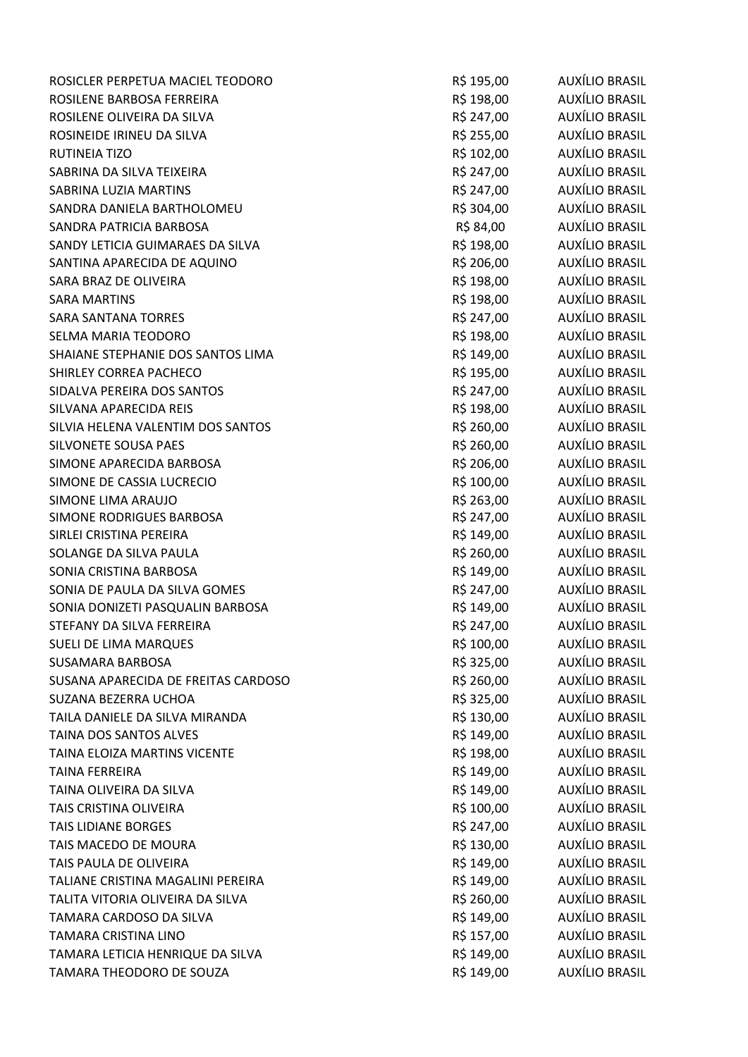| ROSICLER PERPETUA MACIEL TEODORO    | R\$ 195,00 | AUXÍLIO BRASIL        |
|-------------------------------------|------------|-----------------------|
| ROSILENE BARBOSA FERREIRA           | R\$ 198,00 | <b>AUXÍLIO BRASIL</b> |
| ROSILENE OLIVEIRA DA SILVA          | R\$ 247,00 | AUXÍLIO BRASIL        |
| ROSINEIDE IRINEU DA SILVA           | R\$ 255,00 | AUXÍLIO BRASIL        |
| RUTINEIA TIZO                       | R\$ 102,00 | AUXÍLIO BRASIL        |
| SABRINA DA SILVA TEIXEIRA           | R\$ 247,00 | AUXÍLIO BRASIL        |
| SABRINA LUZIA MARTINS               | R\$ 247,00 | <b>AUXÍLIO BRASIL</b> |
| SANDRA DANIELA BARTHOLOMEU          | R\$ 304,00 | AUXÍLIO BRASIL        |
| SANDRA PATRICIA BARBOSA             | R\$ 84,00  | AUXÍLIO BRASIL        |
| SANDY LETICIA GUIMARAES DA SILVA    | R\$ 198,00 | AUXÍLIO BRASIL        |
| SANTINA APARECIDA DE AQUINO         | R\$ 206,00 | AUXÍLIO BRASIL        |
| SARA BRAZ DE OLIVEIRA               | R\$ 198,00 | <b>AUXÍLIO BRASIL</b> |
| <b>SARA MARTINS</b>                 | R\$ 198,00 | AUXÍLIO BRASIL        |
| <b>SARA SANTANA TORRES</b>          | R\$ 247,00 | AUXÍLIO BRASIL        |
| SELMA MARIA TEODORO                 | R\$ 198,00 | <b>AUXÍLIO BRASIL</b> |
| SHAIANE STEPHANIE DOS SANTOS LIMA   | R\$ 149,00 | AUXÍLIO BRASIL        |
| SHIRLEY CORREA PACHECO              | R\$ 195,00 | AUXÍLIO BRASIL        |
| SIDALVA PEREIRA DOS SANTOS          | R\$ 247,00 | AUXÍLIO BRASIL        |
| SILVANA APARECIDA REIS              | R\$ 198,00 | <b>AUXÍLIO BRASIL</b> |
| SILVIA HELENA VALENTIM DOS SANTOS   | R\$ 260,00 | AUXÍLIO BRASIL        |
| SILVONETE SOUSA PAES                | R\$ 260,00 | AUXÍLIO BRASIL        |
| SIMONE APARECIDA BARBOSA            | R\$ 206,00 | AUXÍLIO BRASIL        |
| SIMONE DE CASSIA LUCRECIO           | R\$ 100,00 | <b>AUXÍLIO BRASIL</b> |
| SIMONE LIMA ARAUJO                  | R\$ 263,00 | <b>AUXÍLIO BRASIL</b> |
| SIMONE RODRIGUES BARBOSA            | R\$ 247,00 | AUXÍLIO BRASIL        |
| SIRLEI CRISTINA PEREIRA             | R\$ 149,00 | AUXÍLIO BRASIL        |
| SOLANGE DA SILVA PAULA              | R\$ 260,00 | <b>AUXÍLIO BRASIL</b> |
| SONIA CRISTINA BARBOSA              | R\$ 149,00 | AUXÍLIO BRASIL        |
| SONIA DE PAULA DA SILVA GOMES       | R\$ 247,00 | AUXÍLIO BRASIL        |
| SONIA DONIZETI PASQUALIN BARBOSA    | R\$ 149,00 | AUXÍLIO BRASIL        |
| STEFANY DA SILVA FERREIRA           | R\$ 247,00 | <b>AUXÍLIO BRASIL</b> |
| SUELI DE LIMA MARQUES               | R\$ 100,00 | <b>AUXÍLIO BRASIL</b> |
| <b>SUSAMARA BARBOSA</b>             | R\$ 325,00 | <b>AUXÍLIO BRASIL</b> |
| SUSANA APARECIDA DE FREITAS CARDOSO | R\$ 260,00 | AUXÍLIO BRASIL        |
| SUZANA BEZERRA UCHOA                | R\$ 325,00 | <b>AUXÍLIO BRASIL</b> |
| TAILA DANIELE DA SILVA MIRANDA      | R\$ 130,00 | <b>AUXÍLIO BRASIL</b> |
| TAINA DOS SANTOS ALVES              | R\$ 149,00 | AUXÍLIO BRASIL        |
| TAINA ELOIZA MARTINS VICENTE        | R\$ 198,00 | AUXÍLIO BRASIL        |
| TAINA FERREIRA                      | R\$ 149,00 | <b>AUXÍLIO BRASIL</b> |
| TAINA OLIVEIRA DA SILVA             | R\$ 149,00 | AUXÍLIO BRASIL        |
| TAIS CRISTINA OLIVEIRA              | R\$ 100,00 | AUXÍLIO BRASIL        |
| <b>TAIS LIDIANE BORGES</b>          | R\$ 247,00 | <b>AUXÍLIO BRASIL</b> |
| TAIS MACEDO DE MOURA                | R\$ 130,00 | <b>AUXÍLIO BRASIL</b> |
| TAIS PAULA DE OLIVEIRA              | R\$ 149,00 | AUXÍLIO BRASIL        |
| TALIANE CRISTINA MAGALINI PEREIRA   | R\$ 149,00 | AUXÍLIO BRASIL        |
| TALITA VITORIA OLIVEIRA DA SILVA    | R\$ 260,00 | <b>AUXÍLIO BRASIL</b> |
| TAMARA CARDOSO DA SILVA             | R\$ 149,00 | AUXÍLIO BRASIL        |
| <b>TAMARA CRISTINA LINO</b>         | R\$ 157,00 | AUXÍLIO BRASIL        |
| TAMARA LETICIA HENRIQUE DA SILVA    | R\$ 149,00 | <b>AUXÍLIO BRASIL</b> |
| TAMARA THEODORO DE SOUZA            | R\$ 149,00 | <b>AUXÍLIO BRASIL</b> |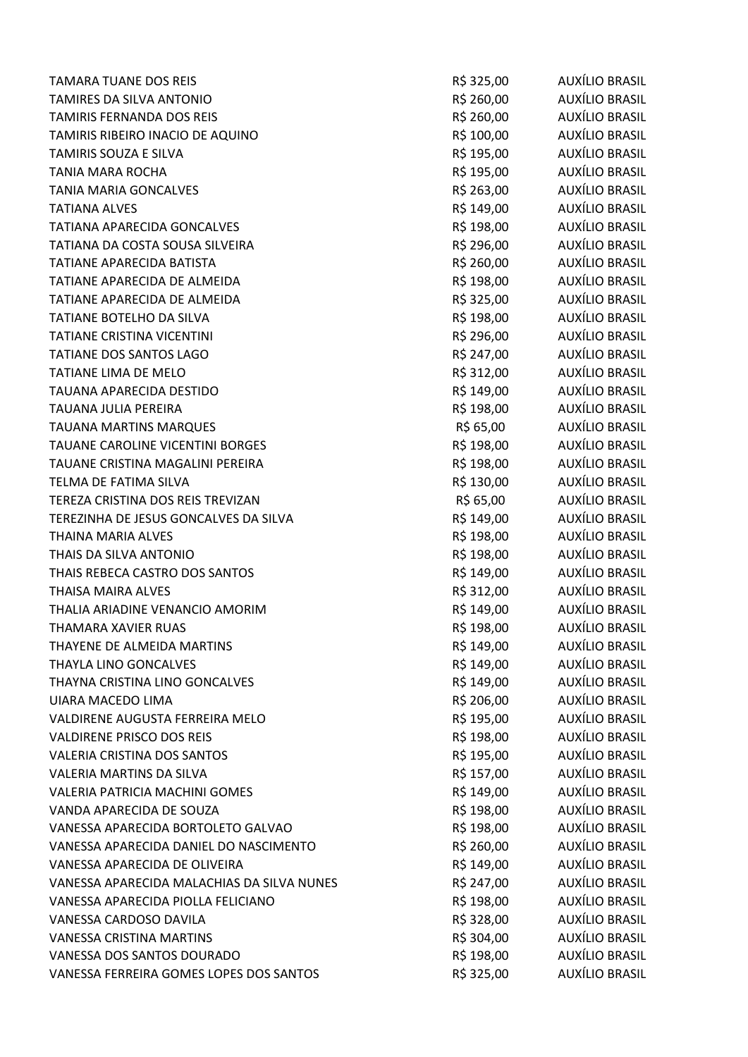| <b>TAMARA TUANE DOS REIS</b>               | R\$ 325,00 | AUXÍLIO BRASIL        |
|--------------------------------------------|------------|-----------------------|
| TAMIRES DA SILVA ANTONIO                   | R\$ 260,00 | <b>AUXÍLIO BRASIL</b> |
| TAMIRIS FERNANDA DOS REIS                  | R\$ 260,00 | AUXÍLIO BRASIL        |
| TAMIRIS RIBEIRO INACIO DE AQUINO           | R\$ 100,00 | <b>AUXÍLIO BRASIL</b> |
| TAMIRIS SOUZA E SILVA                      | R\$ 195,00 | AUXÍLIO BRASIL        |
| <b>TANIA MARA ROCHA</b>                    | R\$ 195,00 | AUXÍLIO BRASIL        |
| <b>TANIA MARIA GONCALVES</b>               | R\$ 263,00 | <b>AUXÍLIO BRASIL</b> |
| <b>TATIANA ALVES</b>                       | R\$ 149,00 | <b>AUXÍLIO BRASIL</b> |
| TATIANA APARECIDA GONCALVES                | R\$ 198,00 | AUXÍLIO BRASIL        |
| TATIANA DA COSTA SOUSA SILVEIRA            | R\$ 296,00 | <b>AUXÍLIO BRASIL</b> |
| TATIANE APARECIDA BATISTA                  | R\$ 260,00 | AUXÍLIO BRASIL        |
| TATIANE APARECIDA DE ALMEIDA               | R\$ 198,00 | <b>AUXÍLIO BRASIL</b> |
| TATIANE APARECIDA DE ALMEIDA               | R\$ 325,00 | AUXÍLIO BRASIL        |
| TATIANE BOTELHO DA SILVA                   | R\$ 198,00 | AUXÍLIO BRASIL        |
| TATIANE CRISTINA VICENTINI                 | R\$ 296,00 | AUXÍLIO BRASIL        |
| <b>TATIANE DOS SANTOS LAGO</b>             | R\$ 247,00 | <b>AUXÍLIO BRASIL</b> |
| TATIANE LIMA DE MELO                       | R\$ 312,00 | AUXÍLIO BRASIL        |
| TAUANA APARECIDA DESTIDO                   | R\$ 149,00 | AUXÍLIO BRASIL        |
| TAUANA JULIA PEREIRA                       | R\$ 198,00 | <b>AUXÍLIO BRASIL</b> |
| <b>TAUANA MARTINS MARQUES</b>              | R\$ 65,00  | AUXÍLIO BRASIL        |
| TAUANE CAROLINE VICENTINI BORGES           | R\$ 198,00 | <b>AUXÍLIO BRASIL</b> |
| TAUANE CRISTINA MAGALINI PEREIRA           | R\$ 198,00 | AUXÍLIO BRASIL        |
| TELMA DE FATIMA SILVA                      | R\$ 130,00 | AUXÍLIO BRASIL        |
| TEREZA CRISTINA DOS REIS TREVIZAN          | R\$ 65,00  | AUXÍLIO BRASIL        |
| TEREZINHA DE JESUS GONCALVES DA SILVA      | R\$ 149,00 | AUXÍLIO BRASIL        |
| <b>THAINA MARIA ALVES</b>                  | R\$ 198,00 | <b>AUXÍLIO BRASIL</b> |
| THAIS DA SILVA ANTONIO                     | R\$ 198,00 | <b>AUXÍLIO BRASIL</b> |
| THAIS REBECA CASTRO DOS SANTOS             | R\$ 149,00 | AUXÍLIO BRASIL        |
| <b>THAISA MAIRA ALVES</b>                  | R\$ 312,00 | AUXÍLIO BRASIL        |
| THALIA ARIADINE VENANCIO AMORIM            | R\$ 149,00 | AUXÍLIO BRASIL        |
| THAMARA XAVIER RUAS                        | R\$ 198,00 | <b>AUXÍLIO BRASIL</b> |
| THAYENE DE ALMEIDA MARTINS                 | R\$ 149,00 | <b>AUXÍLIO BRASIL</b> |
| THAYLA LINO GONCALVES                      | R\$ 149,00 | <b>AUXÍLIO BRASIL</b> |
| THAYNA CRISTINA LINO GONCALVES             | R\$ 149,00 | <b>AUXÍLIO BRASIL</b> |
| <b>UIARA MACEDO LIMA</b>                   | R\$ 206,00 | <b>AUXÍLIO BRASIL</b> |
| VALDIRENE AUGUSTA FERREIRA MELO            | R\$ 195,00 | AUXÍLIO BRASIL        |
| <b>VALDIRENE PRISCO DOS REIS</b>           | R\$ 198,00 | <b>AUXÍLIO BRASIL</b> |
| <b>VALERIA CRISTINA DOS SANTOS</b>         | R\$ 195,00 | <b>AUXÍLIO BRASIL</b> |
| <b>VALERIA MARTINS DA SILVA</b>            | R\$ 157,00 | AUXÍLIO BRASIL        |
| <b>VALERIA PATRICIA MACHINI GOMES</b>      | R\$ 149,00 | <b>AUXÍLIO BRASIL</b> |
| VANDA APARECIDA DE SOUZA                   | R\$ 198,00 | <b>AUXÍLIO BRASIL</b> |
| VANESSA APARECIDA BORTOLETO GALVAO         | R\$ 198,00 | <b>AUXÍLIO BRASIL</b> |
| VANESSA APARECIDA DANIEL DO NASCIMENTO     | R\$ 260,00 | AUXÍLIO BRASIL        |
| VANESSA APARECIDA DE OLIVEIRA              | R\$ 149,00 | AUXÍLIO BRASIL        |
| VANESSA APARECIDA MALACHIAS DA SILVA NUNES | R\$ 247,00 | <b>AUXÍLIO BRASIL</b> |
| VANESSA APARECIDA PIOLLA FELICIANO         | R\$ 198,00 | <b>AUXÍLIO BRASIL</b> |
| VANESSA CARDOSO DAVILA                     | R\$ 328,00 | AUXÍLIO BRASIL        |
| <b>VANESSA CRISTINA MARTINS</b>            | R\$ 304,00 | AUXÍLIO BRASIL        |
| VANESSA DOS SANTOS DOURADO                 | R\$ 198,00 | AUXÍLIO BRASIL        |
| VANESSA FERREIRA GOMES LOPES DOS SANTOS    | R\$ 325,00 | <b>AUXÍLIO BRASIL</b> |
|                                            |            |                       |